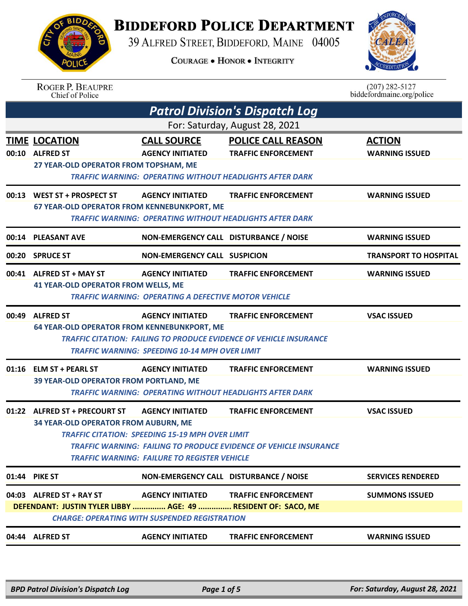**BIDDEFORD POLICE DEPARTMENT** 

39 ALFRED STREET, BIDDEFORD, MAINE 04005

**COURAGE . HONOR . INTEGRITY** 



ROGER P. BEAUPRE<br>Chief of Police

 $(207)$  282-5127<br>biddefordmaine.org/police

|       | <b>Patrol Division's Dispatch Log</b>                                                     |                                                                                                                                          |                                                                                                         |                                        |  |
|-------|-------------------------------------------------------------------------------------------|------------------------------------------------------------------------------------------------------------------------------------------|---------------------------------------------------------------------------------------------------------|----------------------------------------|--|
|       | For: Saturday, August 28, 2021                                                            |                                                                                                                                          |                                                                                                         |                                        |  |
|       | <b>TIME LOCATION</b><br>00:10 ALFRED ST<br>27 YEAR-OLD OPERATOR FROM TOPSHAM, ME          | <b>CALL SOURCE</b><br><b>AGENCY INITIATED</b><br><b>TRAFFIC WARNING: OPERATING WITHOUT HEADLIGHTS AFTER DARK</b>                         | <b>POLICE CALL REASON</b><br><b>TRAFFIC ENFORCEMENT</b>                                                 | <b>ACTION</b><br><b>WARNING ISSUED</b> |  |
| 00:13 | <b>WEST ST + PROSPECT ST</b><br>67 YEAR-OLD OPERATOR FROM KENNEBUNKPORT, ME               | <b>AGENCY INITIATED</b><br><b>TRAFFIC WARNING: OPERATING WITHOUT HEADLIGHTS AFTER DARK</b>                                               | <b>TRAFFIC ENFORCEMENT</b>                                                                              | <b>WARNING ISSUED</b>                  |  |
|       | 00:14 PLEASANT AVE                                                                        | NON-EMERGENCY CALL DISTURBANCE / NOISE                                                                                                   |                                                                                                         | <b>WARNING ISSUED</b>                  |  |
| 00:20 | <b>SPRUCE ST</b>                                                                          | <b>NON-EMERGENCY CALL SUSPICION</b>                                                                                                      |                                                                                                         | <b>TRANSPORT TO HOSPITAL</b>           |  |
|       | 00:41 ALFRED ST + MAY ST<br><b>41 YEAR-OLD OPERATOR FROM WELLS, ME</b>                    | <b>AGENCY INITIATED</b><br><b>TRAFFIC WARNING: OPERATING A DEFECTIVE MOTOR VEHICLE</b>                                                   | <b>TRAFFIC ENFORCEMENT</b>                                                                              | <b>WARNING ISSUED</b>                  |  |
| 00:49 | <b>ALFRED ST</b><br><b>64 YEAR-OLD OPERATOR FROM KENNEBUNKPORT, ME</b>                    | <b>AGENCY INITIATED</b><br><b>TRAFFIC WARNING: SPEEDING 10-14 MPH OVER LIMIT</b>                                                         | <b>TRAFFIC ENFORCEMENT</b><br><b>TRAFFIC CITATION: FAILING TO PRODUCE EVIDENCE OF VEHICLE INSURANCE</b> | <b>VSAC ISSUED</b>                     |  |
|       | 01:16 ELM ST + PEARL ST<br>39 YEAR-OLD OPERATOR FROM PORTLAND, ME                         | <b>AGENCY INITIATED</b><br><b>TRAFFIC WARNING: OPERATING WITHOUT HEADLIGHTS AFTER DARK</b>                                               | <b>TRAFFIC ENFORCEMENT</b>                                                                              | <b>WARNING ISSUED</b>                  |  |
|       | 01:22 ALFRED ST + PRECOURT ST<br>34 YEAR-OLD OPERATOR FROM AUBURN, ME                     | <b>AGENCY INITIATED</b><br><b>TRAFFIC CITATION: SPEEDING 15-19 MPH OVER LIMIT</b><br><b>TRAFFIC WARNING: FAILURE TO REGISTER VEHICLE</b> | <b>TRAFFIC ENFORCEMENT</b><br><b>TRAFFIC WARNING: FAILING TO PRODUCE EVIDENCE OF VEHICLE INSURANCE</b>  | <b>VSAC ISSUED</b>                     |  |
|       | 01:44 PIKE ST                                                                             | NON-EMERGENCY CALL DISTURBANCE / NOISE                                                                                                   |                                                                                                         | <b>SERVICES RENDERED</b>               |  |
|       | 04:03 ALFRED ST + RAY ST<br>DEFENDANT: JUSTIN TYLER LIBBY  AGE: 49  RESIDENT OF: SACO, ME | <b>AGENCY INITIATED</b><br><b>CHARGE: OPERATING WITH SUSPENDED REGISTRATION</b>                                                          | <b>TRAFFIC ENFORCEMENT</b>                                                                              | <b>SUMMONS ISSUED</b>                  |  |
|       | 04:44 ALFRED ST                                                                           | <b>AGENCY INITIATED</b>                                                                                                                  | <b>TRAFFIC ENFORCEMENT</b>                                                                              | <b>WARNING ISSUED</b>                  |  |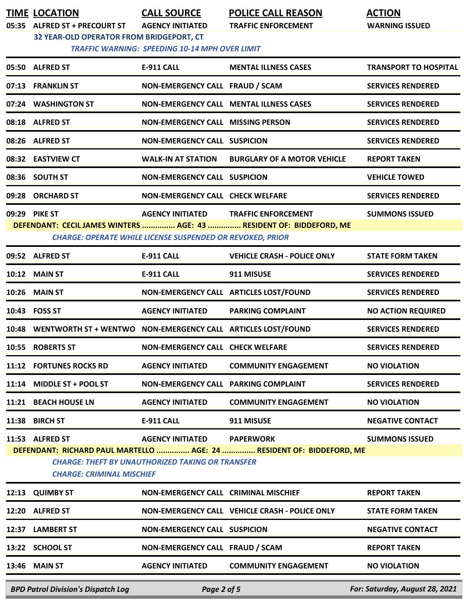**TIME LOCATION CALL SOURCE POLICE CALL REASON ACTION 05:35 ALFRED ST + PRECOURT ST AGENCY INITIATED TRAFFIC ENFORCEMENT WARNING ISSUED**

**32 YEAR-OLD OPERATOR FROM BRIDGEPORT, CT**

 *TRAFFIC WARNING: SPEEDING 10-14 MPH OVER LIMIT* 

| <b>BPD Patrol Division's Dispatch Log</b><br>Page 2 of 5                                                                                                             |                                                              |                                                                  |                                                                     | For: Saturday, August 28, 2021 |  |
|----------------------------------------------------------------------------------------------------------------------------------------------------------------------|--------------------------------------------------------------|------------------------------------------------------------------|---------------------------------------------------------------------|--------------------------------|--|
|                                                                                                                                                                      | 13:46 MAIN ST                                                | <b>AGENCY INITIATED</b>                                          | <b>COMMUNITY ENGAGEMENT</b>                                         | <b>NO VIOLATION</b>            |  |
|                                                                                                                                                                      | 13:22 SCHOOL ST                                              | NON-EMERGENCY CALL FRAUD / SCAM                                  |                                                                     | <b>REPORT TAKEN</b>            |  |
|                                                                                                                                                                      | 12:37 LAMBERT ST                                             | <b>NON-EMERGENCY CALL SUSPICION</b>                              |                                                                     | <b>NEGATIVE CONTACT</b>        |  |
|                                                                                                                                                                      | 12:20 ALFRED ST                                              |                                                                  | NON-EMERGENCY CALL VEHICLE CRASH - POLICE ONLY                      | <b>STATE FORM TAKEN</b>        |  |
| 12:13                                                                                                                                                                | <b>QUIMBY ST</b>                                             | NON-EMERGENCY CALL CRIMINAL MISCHIEF                             |                                                                     | <b>REPORT TAKEN</b>            |  |
| DEFENDANT: RICHARD PAUL MARTELLO  AGE: 24  RESIDENT OF: BIDDEFORD, ME<br><b>CHARGE: THEFT BY UNAUTHORIZED TAKING OR TRANSFER</b><br><b>CHARGE: CRIMINAL MISCHIEF</b> |                                                              |                                                                  |                                                                     |                                |  |
|                                                                                                                                                                      | 11:53 ALFRED ST                                              | <b>AGENCY INITIATED</b>                                          | <b>PAPERWORK</b>                                                    | <b>SUMMONS ISSUED</b>          |  |
| 11:38                                                                                                                                                                | <b>BIRCH ST</b>                                              | <b>E-911 CALL</b>                                                | 911 MISUSE                                                          | <b>NEGATIVE CONTACT</b>        |  |
|                                                                                                                                                                      | 11:21 BEACH HOUSE LN                                         | <b>AGENCY INITIATED</b>                                          | <b>COMMUNITY ENGAGEMENT</b>                                         | <b>NO VIOLATION</b>            |  |
| 11:14                                                                                                                                                                | <b>MIDDLE ST + POOL ST</b>                                   | NON-EMERGENCY CALL PARKING COMPLAINT                             |                                                                     | <b>SERVICES RENDERED</b>       |  |
|                                                                                                                                                                      | 11:12 FORTUNES ROCKS RD                                      | <b>AGENCY INITIATED</b>                                          | <b>COMMUNITY ENGAGEMENT</b>                                         | <b>NO VIOLATION</b>            |  |
| 10:55                                                                                                                                                                | <b>ROBERTS ST</b>                                            | NON-EMERGENCY CALL CHECK WELFARE                                 |                                                                     | <b>SERVICES RENDERED</b>       |  |
| 10:48                                                                                                                                                                | WENTWORTH ST + WENTWO NON-EMERGENCY CALL ARTICLES LOST/FOUND |                                                                  |                                                                     | <b>SERVICES RENDERED</b>       |  |
|                                                                                                                                                                      | 10:43 FOSS ST                                                | <b>AGENCY INITIATED</b>                                          | <b>PARKING COMPLAINT</b>                                            | <b>NO ACTION REQUIRED</b>      |  |
|                                                                                                                                                                      | 10:26 MAIN ST                                                |                                                                  | NON-EMERGENCY CALL ARTICLES LOST/FOUND                              | <b>SERVICES RENDERED</b>       |  |
|                                                                                                                                                                      | 10:12 MAIN ST                                                | <b>E-911 CALL</b>                                                | 911 MISUSE                                                          | <b>SERVICES RENDERED</b>       |  |
|                                                                                                                                                                      | 09:52 ALFRED ST                                              | E-911 CALL                                                       | <b>VEHICLE CRASH - POLICE ONLY</b>                                  | <b>STATE FORM TAKEN</b>        |  |
|                                                                                                                                                                      |                                                              | <b>CHARGE: OPERATE WHILE LICENSE SUSPENDED OR REVOKED, PRIOR</b> | DEFENDANT: CECIL JAMES WINTERS  AGE: 43  RESIDENT OF: BIDDEFORD, ME |                                |  |
|                                                                                                                                                                      | 09:29 PIKE ST                                                |                                                                  | <b>AGENCY INITIATED TRAFFIC ENFORCEMENT</b>                         | <b>SUMMONS ISSUED</b>          |  |
|                                                                                                                                                                      | 09:28 ORCHARD ST                                             | <b>NON-EMERGENCY CALL CHECK WELFARE</b>                          |                                                                     | <b>SERVICES RENDERED</b>       |  |
|                                                                                                                                                                      | 08:36 SOUTH ST                                               | <b>NON-EMERGENCY CALL SUSPICION</b>                              |                                                                     | <b>VEHICLE TOWED</b>           |  |
|                                                                                                                                                                      | 08:32 EASTVIEW CT                                            | <b>WALK-IN AT STATION</b>                                        | <b>BURGLARY OF A MOTOR VEHICLE</b>                                  | <b>REPORT TAKEN</b>            |  |
|                                                                                                                                                                      | 08:26 ALFRED ST                                              | <b>NON-EMERGENCY CALL SUSPICION</b>                              |                                                                     | <b>SERVICES RENDERED</b>       |  |
|                                                                                                                                                                      | 08:18 ALFRED ST                                              | <b>NON-EMERGENCY CALL MISSING PERSON</b>                         |                                                                     | <b>SERVICES RENDERED</b>       |  |
|                                                                                                                                                                      | 07:24 WASHINGTON ST                                          |                                                                  | <b>NON-EMERGENCY CALL MENTAL ILLNESS CASES</b>                      | <b>SERVICES RENDERED</b>       |  |
|                                                                                                                                                                      | 07:13 FRANKLIN ST                                            | NON-EMERGENCY CALL FRAUD / SCAM                                  |                                                                     | <b>SERVICES RENDERED</b>       |  |
|                                                                                                                                                                      | 05:50 ALFRED ST                                              | <b>E-911 CALL</b>                                                | <b>MENTAL ILLNESS CASES</b>                                         | <b>TRANSPORT TO HOSPITAL</b>   |  |
|                                                                                                                                                                      |                                                              |                                                                  |                                                                     |                                |  |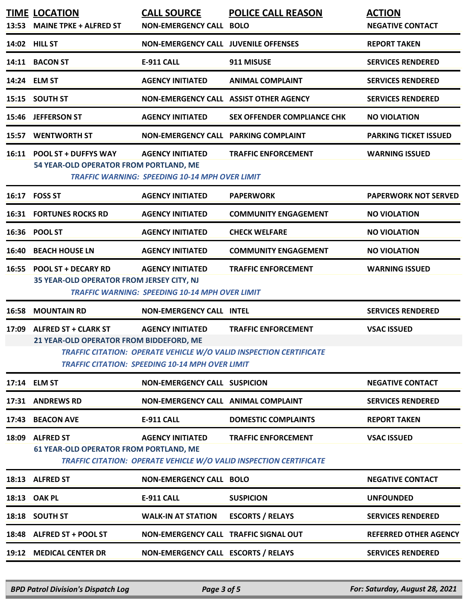| 14:02 HILL ST<br><b>NON-EMERGENCY CALL JUVENILE OFFENSES</b><br><b>REPORT TAKEN</b><br>14:11 BACON ST<br><b>E-911 CALL</b><br>911 MISUSE<br><b>SERVICES RENDERED</b><br>14:24 ELM ST<br><b>AGENCY INITIATED</b><br><b>ANIMAL COMPLAINT</b><br><b>SERVICES RENDERED</b><br>15:15 SOUTH ST<br>NON-EMERGENCY CALL ASSIST OTHER AGENCY<br><b>SERVICES RENDERED</b><br><b>JEFFERSON ST</b><br><b>AGENCY INITIATED</b><br><b>SEX OFFENDER COMPLIANCE CHK</b><br><b>NO VIOLATION</b><br><b>WENTWORTH ST</b><br>NON-EMERGENCY CALL PARKING COMPLAINT<br><b>PARKING TICKET ISSUED</b><br>16:11 POOL ST + DUFFYS WAY<br><b>AGENCY INITIATED</b><br><b>WARNING ISSUED</b><br><b>TRAFFIC ENFORCEMENT</b><br>54 YEAR-OLD OPERATOR FROM PORTLAND, ME<br><b>TRAFFIC WARNING: SPEEDING 10-14 MPH OVER LIMIT</b><br>16:17 FOSS ST<br><b>AGENCY INITIATED</b><br><b>PAPERWORK</b><br><b>PAPERWORK NOT SERVED</b><br><b>16:31 FORTUNES ROCKS RD</b><br><b>AGENCY INITIATED</b><br><b>COMMUNITY ENGAGEMENT</b><br><b>NO VIOLATION</b><br><b>POOL ST</b><br><b>AGENCY INITIATED</b><br>16:36<br><b>CHECK WELFARE</b><br><b>NO VIOLATION</b><br><b>BEACH HOUSE LN</b><br><b>AGENCY INITIATED</b><br><b>COMMUNITY ENGAGEMENT</b><br><b>NO VIOLATION</b><br><b>POOL ST + DECARY RD</b><br><b>AGENCY INITIATED</b><br><b>TRAFFIC ENFORCEMENT</b><br><b>WARNING ISSUED</b><br>35 YEAR-OLD OPERATOR FROM JERSEY CITY, NJ<br><b>TRAFFIC WARNING: SPEEDING 10-14 MPH OVER LIMIT</b><br><b>MOUNTAIN RD</b><br><b>NON-EMERGENCY CALL INTEL</b><br><b>SERVICES RENDERED</b><br><b>ALFRED ST + CLARK ST</b><br><b>AGENCY INITIATED</b><br><b>TRAFFIC ENFORCEMENT</b><br><b>VSAC ISSUED</b><br>21 YEAR-OLD OPERATOR FROM BIDDEFORD, ME<br>TRAFFIC CITATION: OPERATE VEHICLE W/O VALID INSPECTION CERTIFICATE<br><b>TRAFFIC CITATION: SPEEDING 10-14 MPH OVER LIMIT</b><br>17:14 ELM ST<br><b>NON-EMERGENCY CALL SUSPICION</b><br><b>NEGATIVE CONTACT</b><br>17:31 ANDREWS RD<br>NON-EMERGENCY CALL ANIMAL COMPLAINT<br><b>SERVICES RENDERED</b><br>17:43 BEACON AVE<br><b>E-911 CALL</b><br><b>DOMESTIC COMPLAINTS</b><br><b>REPORT TAKEN</b><br>18:09 ALFRED ST<br><b>AGENCY INITIATED</b><br><b>TRAFFIC ENFORCEMENT</b><br><b>VSAC ISSUED</b><br><b>61 YEAR-OLD OPERATOR FROM PORTLAND, ME</b><br><b>TRAFFIC CITATION: OPERATE VEHICLE W/O VALID INSPECTION CERTIFICATE</b><br>18:13 ALFRED ST<br><b>NON-EMERGENCY CALL BOLO</b><br><b>NEGATIVE CONTACT</b><br><b>OAK PL</b><br>E-911 CALL<br><b>SUSPICION</b><br><b>UNFOUNDED</b><br><b>SOUTH ST</b><br><b>WALK-IN AT STATION</b><br><b>ESCORTS / RELAYS</b><br><b>SERVICES RENDERED</b><br>18:18<br>18:48 ALFRED ST + POOL ST<br>NON-EMERGENCY CALL TRAFFIC SIGNAL OUT<br><b>REFERRED OTHER AGENCY</b><br><b>MEDICAL CENTER DR</b><br>NON-EMERGENCY CALL ESCORTS / RELAYS<br><b>SERVICES RENDERED</b> | 13:53 | <b>TIME LOCATION</b><br><b>MAINE TPKE + ALFRED ST</b> | <b>CALL SOURCE</b><br><b>NON-EMERGENCY CALL BOLO</b> | <b>POLICE CALL REASON</b> | <b>ACTION</b><br><b>NEGATIVE CONTACT</b> |
|-------------------------------------------------------------------------------------------------------------------------------------------------------------------------------------------------------------------------------------------------------------------------------------------------------------------------------------------------------------------------------------------------------------------------------------------------------------------------------------------------------------------------------------------------------------------------------------------------------------------------------------------------------------------------------------------------------------------------------------------------------------------------------------------------------------------------------------------------------------------------------------------------------------------------------------------------------------------------------------------------------------------------------------------------------------------------------------------------------------------------------------------------------------------------------------------------------------------------------------------------------------------------------------------------------------------------------------------------------------------------------------------------------------------------------------------------------------------------------------------------------------------------------------------------------------------------------------------------------------------------------------------------------------------------------------------------------------------------------------------------------------------------------------------------------------------------------------------------------------------------------------------------------------------------------------------------------------------------------------------------------------------------------------------------------------------------------------------------------------------------------------------------------------------------------------------------------------------------------------------------------------------------------------------------------------------------------------------------------------------------------------------------------------------------------------------------------------------------------------------------------------------------------------------------------------------------------------------------------------------------------------------------------------------------------------------------------------------------------------------------------------------------------------------------------------------------|-------|-------------------------------------------------------|------------------------------------------------------|---------------------------|------------------------------------------|
|                                                                                                                                                                                                                                                                                                                                                                                                                                                                                                                                                                                                                                                                                                                                                                                                                                                                                                                                                                                                                                                                                                                                                                                                                                                                                                                                                                                                                                                                                                                                                                                                                                                                                                                                                                                                                                                                                                                                                                                                                                                                                                                                                                                                                                                                                                                                                                                                                                                                                                                                                                                                                                                                                                                                                                                                                         |       |                                                       |                                                      |                           |                                          |
|                                                                                                                                                                                                                                                                                                                                                                                                                                                                                                                                                                                                                                                                                                                                                                                                                                                                                                                                                                                                                                                                                                                                                                                                                                                                                                                                                                                                                                                                                                                                                                                                                                                                                                                                                                                                                                                                                                                                                                                                                                                                                                                                                                                                                                                                                                                                                                                                                                                                                                                                                                                                                                                                                                                                                                                                                         |       |                                                       |                                                      |                           |                                          |
|                                                                                                                                                                                                                                                                                                                                                                                                                                                                                                                                                                                                                                                                                                                                                                                                                                                                                                                                                                                                                                                                                                                                                                                                                                                                                                                                                                                                                                                                                                                                                                                                                                                                                                                                                                                                                                                                                                                                                                                                                                                                                                                                                                                                                                                                                                                                                                                                                                                                                                                                                                                                                                                                                                                                                                                                                         |       |                                                       |                                                      |                           |                                          |
|                                                                                                                                                                                                                                                                                                                                                                                                                                                                                                                                                                                                                                                                                                                                                                                                                                                                                                                                                                                                                                                                                                                                                                                                                                                                                                                                                                                                                                                                                                                                                                                                                                                                                                                                                                                                                                                                                                                                                                                                                                                                                                                                                                                                                                                                                                                                                                                                                                                                                                                                                                                                                                                                                                                                                                                                                         |       |                                                       |                                                      |                           |                                          |
|                                                                                                                                                                                                                                                                                                                                                                                                                                                                                                                                                                                                                                                                                                                                                                                                                                                                                                                                                                                                                                                                                                                                                                                                                                                                                                                                                                                                                                                                                                                                                                                                                                                                                                                                                                                                                                                                                                                                                                                                                                                                                                                                                                                                                                                                                                                                                                                                                                                                                                                                                                                                                                                                                                                                                                                                                         | 15:46 |                                                       |                                                      |                           |                                          |
|                                                                                                                                                                                                                                                                                                                                                                                                                                                                                                                                                                                                                                                                                                                                                                                                                                                                                                                                                                                                                                                                                                                                                                                                                                                                                                                                                                                                                                                                                                                                                                                                                                                                                                                                                                                                                                                                                                                                                                                                                                                                                                                                                                                                                                                                                                                                                                                                                                                                                                                                                                                                                                                                                                                                                                                                                         | 15:57 |                                                       |                                                      |                           |                                          |
|                                                                                                                                                                                                                                                                                                                                                                                                                                                                                                                                                                                                                                                                                                                                                                                                                                                                                                                                                                                                                                                                                                                                                                                                                                                                                                                                                                                                                                                                                                                                                                                                                                                                                                                                                                                                                                                                                                                                                                                                                                                                                                                                                                                                                                                                                                                                                                                                                                                                                                                                                                                                                                                                                                                                                                                                                         |       |                                                       |                                                      |                           |                                          |
|                                                                                                                                                                                                                                                                                                                                                                                                                                                                                                                                                                                                                                                                                                                                                                                                                                                                                                                                                                                                                                                                                                                                                                                                                                                                                                                                                                                                                                                                                                                                                                                                                                                                                                                                                                                                                                                                                                                                                                                                                                                                                                                                                                                                                                                                                                                                                                                                                                                                                                                                                                                                                                                                                                                                                                                                                         |       |                                                       |                                                      |                           |                                          |
|                                                                                                                                                                                                                                                                                                                                                                                                                                                                                                                                                                                                                                                                                                                                                                                                                                                                                                                                                                                                                                                                                                                                                                                                                                                                                                                                                                                                                                                                                                                                                                                                                                                                                                                                                                                                                                                                                                                                                                                                                                                                                                                                                                                                                                                                                                                                                                                                                                                                                                                                                                                                                                                                                                                                                                                                                         |       |                                                       |                                                      |                           |                                          |
|                                                                                                                                                                                                                                                                                                                                                                                                                                                                                                                                                                                                                                                                                                                                                                                                                                                                                                                                                                                                                                                                                                                                                                                                                                                                                                                                                                                                                                                                                                                                                                                                                                                                                                                                                                                                                                                                                                                                                                                                                                                                                                                                                                                                                                                                                                                                                                                                                                                                                                                                                                                                                                                                                                                                                                                                                         |       |                                                       |                                                      |                           |                                          |
|                                                                                                                                                                                                                                                                                                                                                                                                                                                                                                                                                                                                                                                                                                                                                                                                                                                                                                                                                                                                                                                                                                                                                                                                                                                                                                                                                                                                                                                                                                                                                                                                                                                                                                                                                                                                                                                                                                                                                                                                                                                                                                                                                                                                                                                                                                                                                                                                                                                                                                                                                                                                                                                                                                                                                                                                                         | 16:40 |                                                       |                                                      |                           |                                          |
|                                                                                                                                                                                                                                                                                                                                                                                                                                                                                                                                                                                                                                                                                                                                                                                                                                                                                                                                                                                                                                                                                                                                                                                                                                                                                                                                                                                                                                                                                                                                                                                                                                                                                                                                                                                                                                                                                                                                                                                                                                                                                                                                                                                                                                                                                                                                                                                                                                                                                                                                                                                                                                                                                                                                                                                                                         | 16:55 |                                                       |                                                      |                           |                                          |
|                                                                                                                                                                                                                                                                                                                                                                                                                                                                                                                                                                                                                                                                                                                                                                                                                                                                                                                                                                                                                                                                                                                                                                                                                                                                                                                                                                                                                                                                                                                                                                                                                                                                                                                                                                                                                                                                                                                                                                                                                                                                                                                                                                                                                                                                                                                                                                                                                                                                                                                                                                                                                                                                                                                                                                                                                         | 16:58 |                                                       |                                                      |                           |                                          |
|                                                                                                                                                                                                                                                                                                                                                                                                                                                                                                                                                                                                                                                                                                                                                                                                                                                                                                                                                                                                                                                                                                                                                                                                                                                                                                                                                                                                                                                                                                                                                                                                                                                                                                                                                                                                                                                                                                                                                                                                                                                                                                                                                                                                                                                                                                                                                                                                                                                                                                                                                                                                                                                                                                                                                                                                                         | 17:09 |                                                       |                                                      |                           |                                          |
|                                                                                                                                                                                                                                                                                                                                                                                                                                                                                                                                                                                                                                                                                                                                                                                                                                                                                                                                                                                                                                                                                                                                                                                                                                                                                                                                                                                                                                                                                                                                                                                                                                                                                                                                                                                                                                                                                                                                                                                                                                                                                                                                                                                                                                                                                                                                                                                                                                                                                                                                                                                                                                                                                                                                                                                                                         |       |                                                       |                                                      |                           |                                          |
|                                                                                                                                                                                                                                                                                                                                                                                                                                                                                                                                                                                                                                                                                                                                                                                                                                                                                                                                                                                                                                                                                                                                                                                                                                                                                                                                                                                                                                                                                                                                                                                                                                                                                                                                                                                                                                                                                                                                                                                                                                                                                                                                                                                                                                                                                                                                                                                                                                                                                                                                                                                                                                                                                                                                                                                                                         |       |                                                       |                                                      |                           |                                          |
|                                                                                                                                                                                                                                                                                                                                                                                                                                                                                                                                                                                                                                                                                                                                                                                                                                                                                                                                                                                                                                                                                                                                                                                                                                                                                                                                                                                                                                                                                                                                                                                                                                                                                                                                                                                                                                                                                                                                                                                                                                                                                                                                                                                                                                                                                                                                                                                                                                                                                                                                                                                                                                                                                                                                                                                                                         |       |                                                       |                                                      |                           |                                          |
|                                                                                                                                                                                                                                                                                                                                                                                                                                                                                                                                                                                                                                                                                                                                                                                                                                                                                                                                                                                                                                                                                                                                                                                                                                                                                                                                                                                                                                                                                                                                                                                                                                                                                                                                                                                                                                                                                                                                                                                                                                                                                                                                                                                                                                                                                                                                                                                                                                                                                                                                                                                                                                                                                                                                                                                                                         |       |                                                       |                                                      |                           |                                          |
|                                                                                                                                                                                                                                                                                                                                                                                                                                                                                                                                                                                                                                                                                                                                                                                                                                                                                                                                                                                                                                                                                                                                                                                                                                                                                                                                                                                                                                                                                                                                                                                                                                                                                                                                                                                                                                                                                                                                                                                                                                                                                                                                                                                                                                                                                                                                                                                                                                                                                                                                                                                                                                                                                                                                                                                                                         |       |                                                       |                                                      |                           |                                          |
|                                                                                                                                                                                                                                                                                                                                                                                                                                                                                                                                                                                                                                                                                                                                                                                                                                                                                                                                                                                                                                                                                                                                                                                                                                                                                                                                                                                                                                                                                                                                                                                                                                                                                                                                                                                                                                                                                                                                                                                                                                                                                                                                                                                                                                                                                                                                                                                                                                                                                                                                                                                                                                                                                                                                                                                                                         |       |                                                       |                                                      |                           |                                          |
|                                                                                                                                                                                                                                                                                                                                                                                                                                                                                                                                                                                                                                                                                                                                                                                                                                                                                                                                                                                                                                                                                                                                                                                                                                                                                                                                                                                                                                                                                                                                                                                                                                                                                                                                                                                                                                                                                                                                                                                                                                                                                                                                                                                                                                                                                                                                                                                                                                                                                                                                                                                                                                                                                                                                                                                                                         | 18:13 |                                                       |                                                      |                           |                                          |
|                                                                                                                                                                                                                                                                                                                                                                                                                                                                                                                                                                                                                                                                                                                                                                                                                                                                                                                                                                                                                                                                                                                                                                                                                                                                                                                                                                                                                                                                                                                                                                                                                                                                                                                                                                                                                                                                                                                                                                                                                                                                                                                                                                                                                                                                                                                                                                                                                                                                                                                                                                                                                                                                                                                                                                                                                         |       |                                                       |                                                      |                           |                                          |
|                                                                                                                                                                                                                                                                                                                                                                                                                                                                                                                                                                                                                                                                                                                                                                                                                                                                                                                                                                                                                                                                                                                                                                                                                                                                                                                                                                                                                                                                                                                                                                                                                                                                                                                                                                                                                                                                                                                                                                                                                                                                                                                                                                                                                                                                                                                                                                                                                                                                                                                                                                                                                                                                                                                                                                                                                         |       |                                                       |                                                      |                           |                                          |
|                                                                                                                                                                                                                                                                                                                                                                                                                                                                                                                                                                                                                                                                                                                                                                                                                                                                                                                                                                                                                                                                                                                                                                                                                                                                                                                                                                                                                                                                                                                                                                                                                                                                                                                                                                                                                                                                                                                                                                                                                                                                                                                                                                                                                                                                                                                                                                                                                                                                                                                                                                                                                                                                                                                                                                                                                         | 19:12 |                                                       |                                                      |                           |                                          |

*BPD Patrol Division's Dispatch Log Page 3 of 5 For: Saturday, August 28, 2021*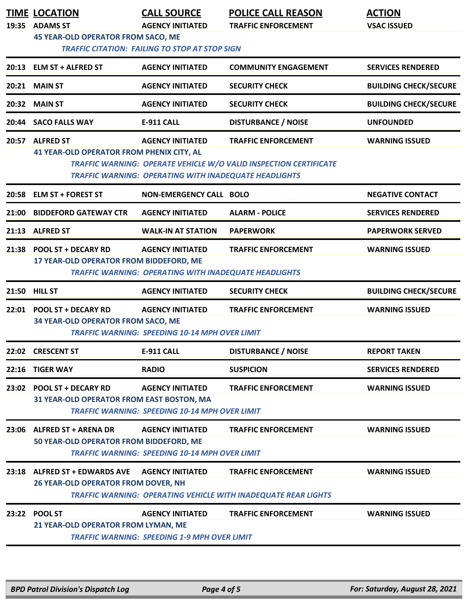|       | <b>TIME LOCATION</b><br>19:35 ADAMS ST                                                             | <b>CALL SOURCE</b><br><b>AGENCY INITIATED</b>                                                                                             | <b>POLICE CALL REASON</b><br><b>TRAFFIC ENFORCEMENT</b>                                             | <b>ACTION</b><br><b>VSAC ISSUED</b> |  |
|-------|----------------------------------------------------------------------------------------------------|-------------------------------------------------------------------------------------------------------------------------------------------|-----------------------------------------------------------------------------------------------------|-------------------------------------|--|
|       | <b>45 YEAR-OLD OPERATOR FROM SACO, ME</b><br><b>TRAFFIC CITATION: FAILING TO STOP AT STOP SIGN</b> |                                                                                                                                           |                                                                                                     |                                     |  |
| 20:13 | <b>ELM ST + ALFRED ST</b>                                                                          | <b>AGENCY INITIATED</b>                                                                                                                   | <b>COMMUNITY ENGAGEMENT</b>                                                                         | <b>SERVICES RENDERED</b>            |  |
| 20:21 | <b>MAIN ST</b>                                                                                     | <b>AGENCY INITIATED</b>                                                                                                                   | <b>SECURITY CHECK</b>                                                                               | <b>BUILDING CHECK/SECURE</b>        |  |
| 20:32 | <b>MAIN ST</b>                                                                                     | <b>AGENCY INITIATED</b>                                                                                                                   | <b>SECURITY CHECK</b>                                                                               | <b>BUILDING CHECK/SECURE</b>        |  |
| 20:44 | <b>SACO FALLS WAY</b>                                                                              | <b>E-911 CALL</b>                                                                                                                         | <b>DISTURBANCE / NOISE</b>                                                                          | <b>UNFOUNDED</b>                    |  |
|       | 20:57 ALFRED ST<br><b>41 YEAR-OLD OPERATOR FROM PHENIX CITY, AL</b>                                | <b>AGENCY INITIATED</b>                                                                                                                   | <b>TRAFFIC ENFORCEMENT</b>                                                                          | <b>WARNING ISSUED</b>               |  |
|       |                                                                                                    | <b>TRAFFIC WARNING: OPERATING WITH INADEQUATE HEADLIGHTS</b>                                                                              | TRAFFIC WARNING: OPERATE VEHICLE W/O VALID INSPECTION CERTIFICATE                                   |                                     |  |
|       | 20:58 ELM ST + FOREST ST                                                                           | <b>NON-EMERGENCY CALL BOLO</b>                                                                                                            |                                                                                                     | <b>NEGATIVE CONTACT</b>             |  |
| 21:00 | <b>BIDDEFORD GATEWAY CTR</b>                                                                       | <b>AGENCY INITIATED</b>                                                                                                                   | <b>ALARM - POLICE</b>                                                                               | <b>SERVICES RENDERED</b>            |  |
| 21:13 | <b>ALFRED ST</b>                                                                                   | <b>WALK-IN AT STATION</b>                                                                                                                 | <b>PAPERWORK</b>                                                                                    | <b>PAPERWORK SERVED</b>             |  |
|       | 21:38 POOL ST + DECARY RD<br>17 YEAR-OLD OPERATOR FROM BIDDEFORD, ME                               | <b>AGENCY INITIATED</b>                                                                                                                   | <b>TRAFFIC ENFORCEMENT</b>                                                                          | <b>WARNING ISSUED</b>               |  |
|       |                                                                                                    | <b>TRAFFIC WARNING: OPERATING WITH INADEQUATE HEADLIGHTS</b>                                                                              |                                                                                                     |                                     |  |
|       | 21:50 HILL ST                                                                                      | <b>AGENCY INITIATED</b>                                                                                                                   | <b>SECURITY CHECK</b>                                                                               | <b>BUILDING CHECK/SECURE</b>        |  |
|       | 22:01 POOL ST + DECARY RD<br>34 YEAR-OLD OPERATOR FROM SACO, ME                                    | <b>AGENCY INITIATED</b><br><b>TRAFFIC WARNING: SPEEDING 10-14 MPH OVER LIMIT</b>                                                          | <b>TRAFFIC ENFORCEMENT</b>                                                                          | <b>WARNING ISSUED</b>               |  |
| 22:02 | <b>CRESCENT ST</b>                                                                                 | E-911 CALL                                                                                                                                | <b>DISTURBANCE / NOISE</b>                                                                          | <b>REPORT TAKEN</b>                 |  |
|       | 22:16 TIGER WAY                                                                                    | <b>RADIO</b>                                                                                                                              | <b>SUSPICION</b>                                                                                    | <b>SERVICES RENDERED</b>            |  |
|       | 23:02 POOL ST + DECARY RD<br>31 YEAR-OLD OPERATOR FROM EAST BOSTON, MA                             | <b>AGENCY INITIATED</b>                                                                                                                   | <b>TRAFFIC ENFORCEMENT</b>                                                                          | <b>WARNING ISSUED</b>               |  |
|       | 23:06 ALFRED ST + ARENA DR<br>50 YEAR-OLD OPERATOR FROM BIDDEFORD, ME                              | <b>TRAFFIC WARNING: SPEEDING 10-14 MPH OVER LIMIT</b><br><b>AGENCY INITIATED</b><br><b>TRAFFIC WARNING: SPEEDING 10-14 MPH OVER LIMIT</b> | <b>TRAFFIC ENFORCEMENT</b>                                                                          | <b>WARNING ISSUED</b>               |  |
| 23:18 | <b>ALFRED ST + EDWARDS AVE</b><br>26 YEAR-OLD OPERATOR FROM DOVER, NH                              | <b>AGENCY INITIATED</b>                                                                                                                   | <b>TRAFFIC ENFORCEMENT</b><br><b>TRAFFIC WARNING: OPERATING VEHICLE WITH INADEQUATE REAR LIGHTS</b> | <b>WARNING ISSUED</b>               |  |
| 23:22 | <b>POOL ST</b><br>21 YEAR-OLD OPERATOR FROM LYMAN, ME                                              | <b>AGENCY INITIATED</b><br><b>TRAFFIC WARNING: SPEEDING 1-9 MPH OVER LIMIT</b>                                                            | <b>TRAFFIC ENFORCEMENT</b>                                                                          | <b>WARNING ISSUED</b>               |  |